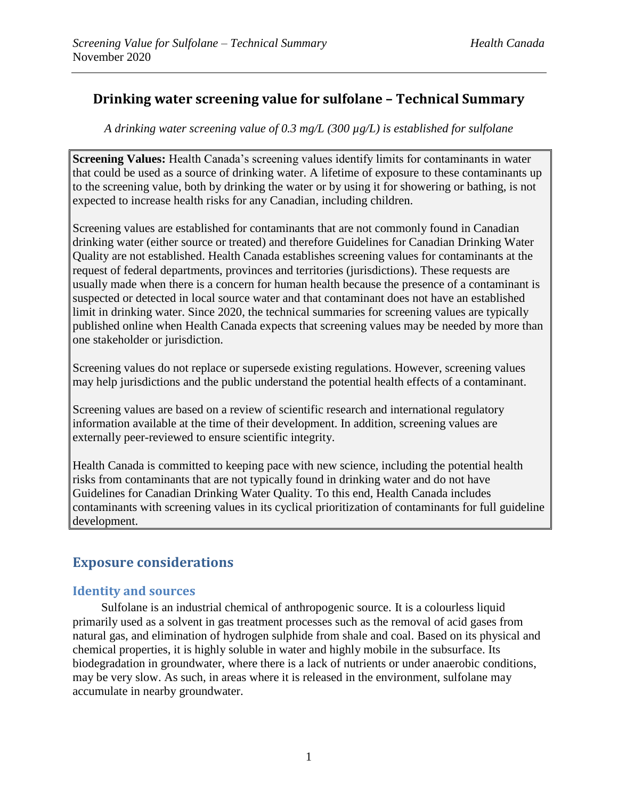# **Drinking water screening value for sulfolane – Technical Summary**

*A drinking water screening value of 0.3 mg/L (300 µg/L) is established for sulfolane*

**Screening Values:** Health Canada's screening values identify limits for contaminants in water that could be used as a source of drinking water. A lifetime of exposure to these contaminants up to the screening value, both by drinking the water or by using it for showering or bathing, is not expected to increase health risks for any Canadian, including children.

Screening values are established for contaminants that are not commonly found in Canadian drinking water (either source or treated) and therefore Guidelines for Canadian Drinking Water Quality are not established. Health Canada establishes screening values for contaminants at the request of federal departments, provinces and territories (jurisdictions). These requests are usually made when there is a concern for human health because the presence of a contaminant is suspected or detected in local source water and that contaminant does not have an established limit in drinking water. Since 2020, the technical summaries for screening values are typically published online when Health Canada expects that screening values may be needed by more than one stakeholder or jurisdiction.

Screening values do not replace or supersede existing regulations. However, screening values may help jurisdictions and the public understand the potential health effects of a contaminant.

Screening values are based on a review of scientific research and international regulatory information available at the time of their development. In addition, screening values are externally peer-reviewed to ensure scientific integrity.

Health Canada is committed to keeping pace with new science, including the potential health risks from contaminants that are not typically found in drinking water and do not have Guidelines for Canadian Drinking Water Quality. To this end, Health Canada includes contaminants with screening values in its cyclical prioritization of contaminants for full guideline development.

# **Exposure considerations**

## **Identity and sources**

Sulfolane is an industrial chemical of anthropogenic source. It is a colourless liquid primarily used as a solvent in gas treatment processes such as the removal of acid gases from natural gas, and elimination of hydrogen sulphide from shale and coal. Based on its physical and chemical properties, it is highly soluble in water and highly mobile in the subsurface. Its biodegradation in groundwater, where there is a lack of nutrients or under anaerobic conditions, may be very slow. As such, in areas where it is released in the environment, sulfolane may accumulate in nearby groundwater.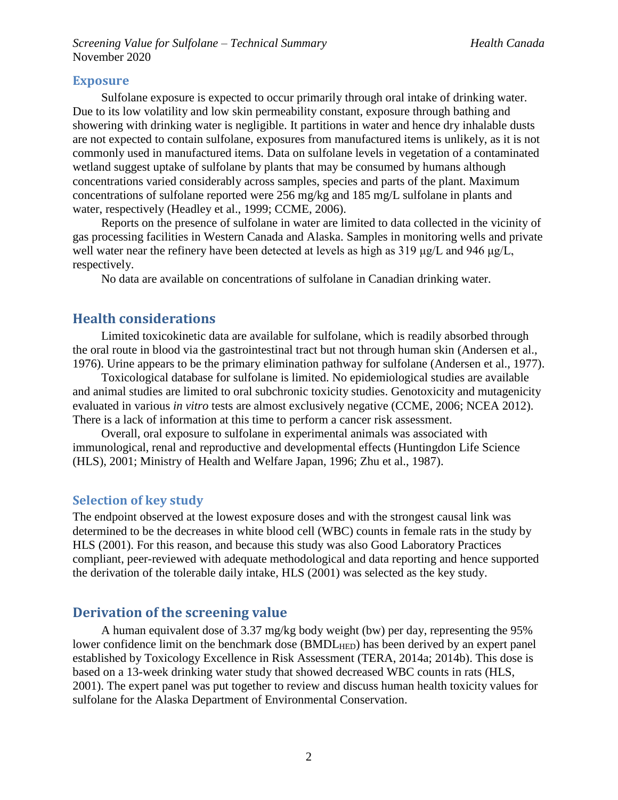#### **Exposure**

Sulfolane exposure is expected to occur primarily through oral intake of drinking water. Due to its low volatility and low skin permeability constant, exposure through bathing and showering with drinking water is negligible. It partitions in water and hence dry inhalable dusts are not expected to contain sulfolane, exposures from manufactured items is unlikely, as it is not commonly used in manufactured items. Data on sulfolane levels in vegetation of a contaminated wetland suggest uptake of sulfolane by plants that may be consumed by humans although concentrations varied considerably across samples, species and parts of the plant. Maximum concentrations of sulfolane reported were 256 mg/kg and 185 mg/L sulfolane in plants and water, respectively (Headley et al., 1999; CCME, 2006).

Reports on the presence of sulfolane in water are limited to data collected in the vicinity of gas processing facilities in Western Canada and Alaska. Samples in monitoring wells and private well water near the refinery have been detected at levels as high as 319 μg/L and 946 μg/L, respectively.

No data are available on concentrations of sulfolane in Canadian drinking water.

## **Health considerations**

Limited toxicokinetic data are available for sulfolane, which is readily absorbed through the oral route in blood via the gastrointestinal tract but not through human skin (Andersen et al., 1976). Urine appears to be the primary elimination pathway for sulfolane (Andersen et al., 1977).

Toxicological database for sulfolane is limited. No epidemiological studies are available and animal studies are limited to oral subchronic toxicity studies. Genotoxicity and mutagenicity evaluated in various *in vitro* tests are almost exclusively negative (CCME, 2006; NCEA 2012). There is a lack of information at this time to perform a cancer risk assessment.

Overall, oral exposure to sulfolane in experimental animals was associated with immunological, renal and reproductive and developmental effects (Huntingdon Life Science (HLS), 2001; Ministry of Health and Welfare Japan, 1996; Zhu et al., 1987).

#### **Selection of key study**

The endpoint observed at the lowest exposure doses and with the strongest causal link was determined to be the decreases in white blood cell (WBC) counts in female rats in the study by HLS (2001). For this reason, and because this study was also Good Laboratory Practices compliant, peer-reviewed with adequate methodological and data reporting and hence supported the derivation of the tolerable daily intake, HLS (2001) was selected as the key study.

## **Derivation of the screening value**

A human equivalent dose of 3.37 mg/kg body weight (bw) per day, representing the 95% lower confidence limit on the benchmark dose (BMDL<sub>HED</sub>) has been derived by an expert panel established by Toxicology Excellence in Risk Assessment (TERA, 2014a; 2014b). This dose is based on a 13-week drinking water study that showed decreased WBC counts in rats (HLS, 2001). The expert panel was put together to review and discuss human health toxicity values for sulfolane for the Alaska Department of Environmental Conservation.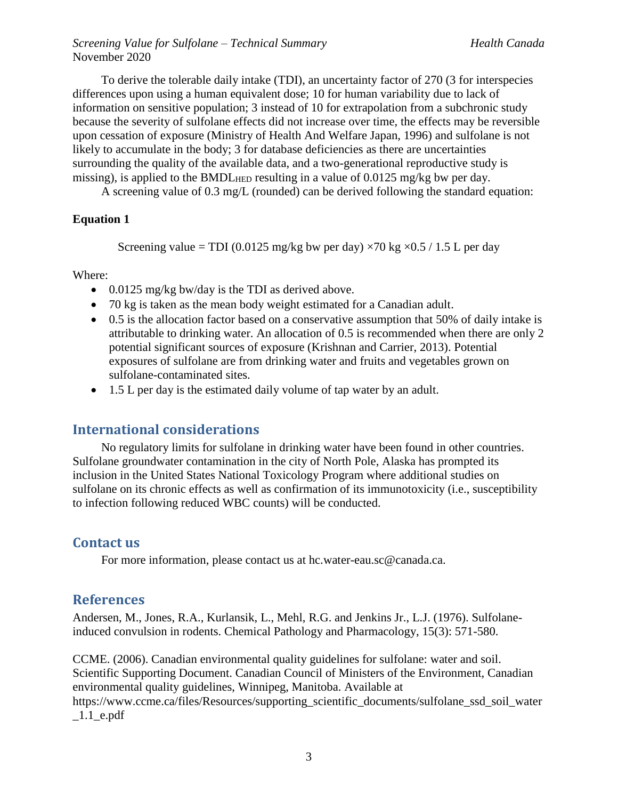*Screening Value for Sulfolane – Technical Summary Health Canada* November 2020

To derive the tolerable daily intake (TDI), an uncertainty factor of 270 (3 for interspecies differences upon using a human equivalent dose; 10 for human variability due to lack of information on sensitive population; 3 instead of 10 for extrapolation from a subchronic study because the severity of sulfolane effects did not increase over time, the effects may be reversible upon cessation of exposure (Ministry of Health And Welfare Japan, 1996) and sulfolane is not likely to accumulate in the body; 3 for database deficiencies as there are uncertainties surrounding the quality of the available data, and a two-generational reproductive study is missing), is applied to the BMDL<sub>HED</sub> resulting in a value of 0.0125 mg/kg bw per day.

A screening value of 0.3 mg/L (rounded) can be derived following the standard equation:

#### **Equation 1**

Screening value = TDI (0.0125 mg/kg bw per day)  $\times$ 70 kg  $\times$ 0.5 / 1.5 L per day

Where:

- 0.0125 mg/kg bw/day is the TDI as derived above.
- 70 kg is taken as the mean body weight estimated for a Canadian adult.
- 0.5 is the allocation factor based on a conservative assumption that 50% of daily intake is attributable to drinking water. An allocation of 0.5 is recommended when there are only 2 potential significant sources of exposure (Krishnan and Carrier, 2013). Potential exposures of sulfolane are from drinking water and fruits and vegetables grown on sulfolane-contaminated sites.
- 1.5 L per day is the estimated daily volume of tap water by an adult.

## **International considerations**

No regulatory limits for sulfolane in drinking water have been found in other countries. Sulfolane groundwater contamination in the city of North Pole, Alaska has prompted its inclusion in the United States National Toxicology Program where additional studies on sulfolane on its chronic effects as well as confirmation of its immunotoxicity (i.e., susceptibility to infection following reduced WBC counts) will be conducted.

## **Contact us**

For more information, please contact us at hc.water-eau.sc@canada.ca.

#### **References**

Andersen, M., Jones, R.A., Kurlansik, L., Mehl, R.G. and Jenkins Jr., L.J. (1976). Sulfolaneinduced convulsion in rodents. Chemical Pathology and Pharmacology, 15(3): 571-580.

CCME. (2006). Canadian environmental quality guidelines for sulfolane: water and soil. Scientific Supporting Document. Canadian Council of Ministers of the Environment, Canadian environmental quality guidelines, Winnipeg, Manitoba. Available at https://www.ccme.ca/files/Resources/supporting\_scientific\_documents/sulfolane\_ssd\_soil\_water  $\_1.1\_e.pdf$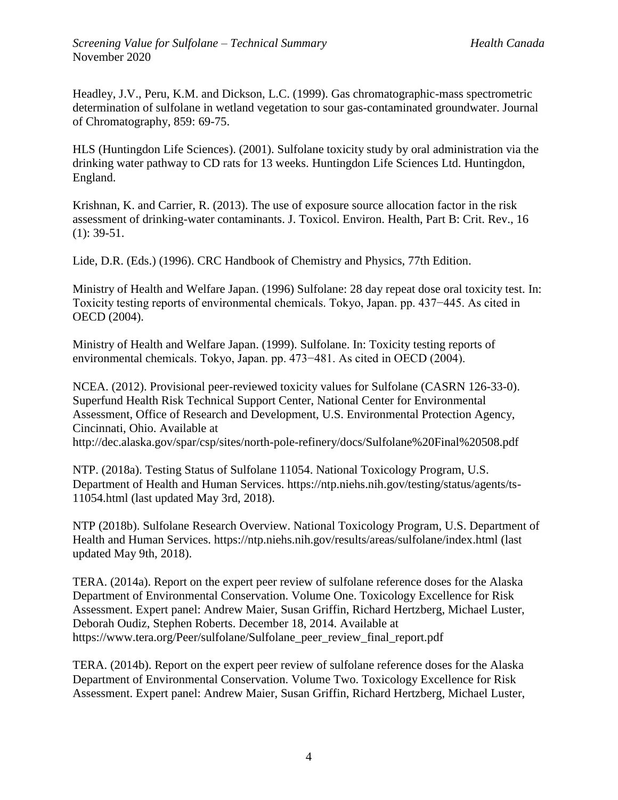Headley, J.V., Peru, K.M. and Dickson, L.C. (1999). Gas chromatographic-mass spectrometric determination of sulfolane in wetland vegetation to sour gas-contaminated groundwater. Journal of Chromatography, 859: 69-75.

HLS (Huntingdon Life Sciences). (2001). Sulfolane toxicity study by oral administration via the drinking water pathway to CD rats for 13 weeks. Huntingdon Life Sciences Ltd. Huntingdon, England.

Krishnan, K. and Carrier, R. (2013). The use of exposure source allocation factor in the risk assessment of drinking-water contaminants. J. Toxicol. Environ. Health, Part B: Crit. Rev., 16 (1): 39-51.

Lide, D.R. (Eds.) (1996). CRC Handbook of Chemistry and Physics, 77th Edition.

Ministry of Health and Welfare Japan. (1996) Sulfolane: 28 day repeat dose oral toxicity test. In: Toxicity testing reports of environmental chemicals. Tokyo, Japan. pp. 437−445. As cited in OECD (2004).

Ministry of Health and Welfare Japan. (1999). Sulfolane. In: Toxicity testing reports of environmental chemicals. Tokyo, Japan. pp. 473−481. As cited in OECD (2004).

NCEA. (2012). Provisional peer-reviewed toxicity values for Sulfolane (CASRN 126-33-0). Superfund Health Risk Technical Support Center, National Center for Environmental Assessment, Office of Research and Development, U.S. Environmental Protection Agency, Cincinnati, Ohio. Available at http://dec.alaska.gov/spar/csp/sites/north-pole-refinery/docs/Sulfolane%20Final%20508.pdf

NTP. (2018a). Testing Status of Sulfolane 11054. National Toxicology Program, U.S. Department of Health and Human Services. https://ntp.niehs.nih.gov/testing/status/agents/ts-11054.html (last updated May 3rd, 2018).

NTP (2018b). Sulfolane Research Overview. National Toxicology Program, U.S. Department of Health and Human Services. https://ntp.niehs.nih.gov/results/areas/sulfolane/index.html (last updated May 9th, 2018).

TERA. (2014a). Report on the expert peer review of sulfolane reference doses for the Alaska Department of Environmental Conservation. Volume One. Toxicology Excellence for Risk Assessment. Expert panel: Andrew Maier, Susan Griffin, Richard Hertzberg, Michael Luster, Deborah Oudiz, Stephen Roberts. December 18, 2014. Available at https://www.tera.org/Peer/sulfolane/Sulfolane\_peer\_review\_final\_report.pdf

TERA. (2014b). Report on the expert peer review of sulfolane reference doses for the Alaska Department of Environmental Conservation. Volume Two. Toxicology Excellence for Risk Assessment. Expert panel: Andrew Maier, Susan Griffin, Richard Hertzberg, Michael Luster,